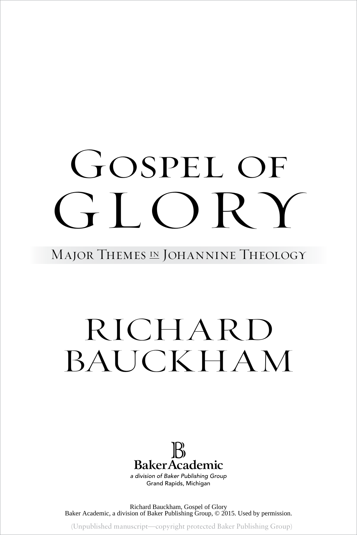# GOSPEL OF GLORY

## MAJOR THEMES IN JOHANNINE THEOLOGY

# RICHARD BAUCKHAM



Richard Bauckham, Gospel of Glory Baker Academic, a division of Baker Publishing Group, © 2015. Used by permission.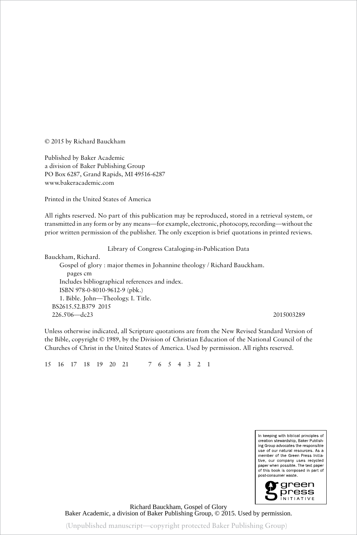© 2015 by Richard Bauckham

Published by Baker Academic a division of Baker Publishing Group PO Box 6287, Grand Rapids, MI 49516-6287 www.bakeracademic.com

Printed in the United States of America

All rights reserved. No part of this publication may be reproduced, stored in a retrieval system, or transmitted in any form or by any means—for example, electronic, photocopy, recording—without the prior written permission of the publisher. The only exception is brief quotations in printed reviews.

Library of Congress Cataloging-in-Publication Data Bauckham, Richard. Gospel of glory : major themes in Johannine theology / Richard Bauckham. pages cm Includes bibliographical references and index. ISBN 978-0-8010-9612-9 (pbk.) 1. Bible. John—Theology. I. Title. BS2615.52.B379 2015 226.5 06—dc23 2015003289

Unless otherwise indicated, all Scripture quotations are from the New Revised Standard Version of the Bible, copyright © 1989, by the Division of Christian Education of the National Council of the Churches of Christ in the United States of America. Used by permission. All rights reserved.

15 16 17 18 19 20 21 7 6 5 4 3 2 1

In keeping with biblical principles of creation stewardship, Baker Publishing Group advocates the responsible use of our natural resources. As a member of the Green Press Initiative, our company uses recycled paper when possible. The text paper of this book is composed in part of post-consumer waste.



Richard Bauckham, Gospel of Glory Baker Academic, a division of Baker Publishing Group, © 2015. Used by permission.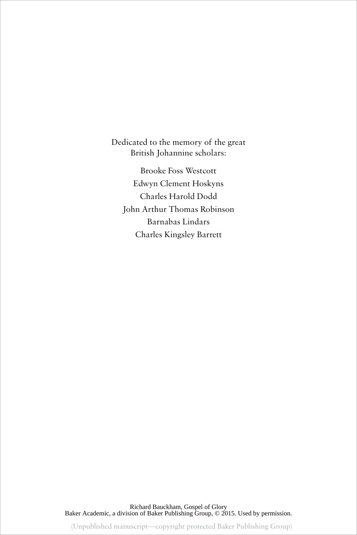Dedicated to the memory of the great British Johannine scholars:

Brooke Foss Westcott Edwyn Clement Hoskyns Charles Harold Dodd John Arthur Thomas Robinson Barnabas Lindars Charles Kingsley Barrett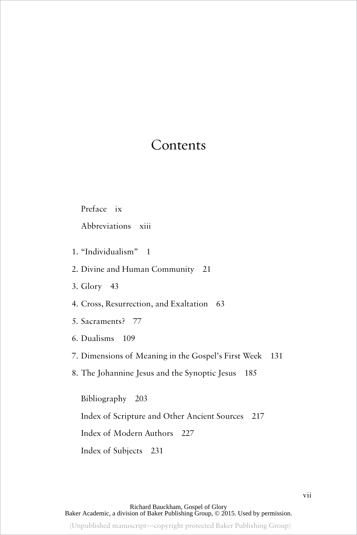### Contents

Preface ix

Abbreviations xiii

- 1. "Individualism" 1
- 2. Divine and Human Community 21
- 3. Glory 43
- 4. Cross, Resurrection, and Exaltation 63
- 5. Sacraments? 77
- 6. Dualisms 109
- 7. Dimensions of Meaning in the Gospel's First Week 131
- 8. The Johannine Jesus and the Synoptic Jesus 185

Bibliography 203 Index of Scripture and Other Ancient Sources 217 Index of Modern Authors 227 Index of Subjects 231

vii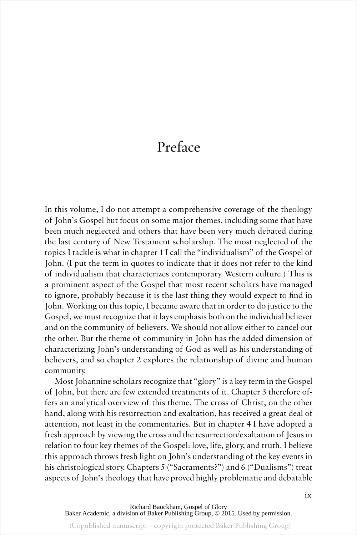# Preface

In this volume, I do not attempt a comprehensive coverage of the theology of John's Gospel but focus on some major themes, including some that have been much neglected and others that have been very much debated during the last century of New Testament scholarship. The most neglected of the topics I tackle is what in chapter 1 I call the "individualism" of the Gospel of John. (I put the term in quotes to indicate that it does not refer to the kind of individualism that characterizes contemporary Western culture.) This is a prominent aspect of the Gospel that most recent scholars have managed to ignore, probably because it is the last thing they would expect to find in John. Working on this topic, I became aware that in order to do justice to the Gospel, we must recognize that it lays emphasis both on the individual believer and on the community of believers. We should not allow either to cancel out the other. But the theme of community in John has the added dimension of characterizing John's understanding of God as well as his understanding of believers, and so chapter 2 explores the relationship of divine and human community.

Most Johannine scholars recognize that "glory" is a key term in the Gospel of John, but there are few extended treatments of it. Chapter 3 therefore offers an analytical overview of this theme. The cross of Christ, on the other hand, along with his resurrection and exaltation, has received a great deal of attention, not least in the commentaries. But in chapter 4 I have adopted a fresh approach by viewing the cross and the resurrection/exaltation of Jesus in relation to four key themes of the Gospel: love, life, glory, and truth. I believe this approach throws fresh light on John's understanding of the key events in his christological story. Chapters 5 ("Sacraments?") and 6 ("Dualisms") treat aspects of John's theology that have proved highly problematic and debatable

Richard Bauckham, Gospel of Glory Baker Academic, a division of Baker Publishing Group, © 2015. Used by permission.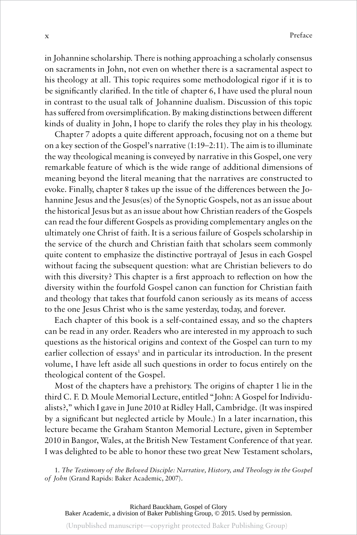in Johannine scholarship. There is nothing approaching a scholarly consensus on sacraments in John, not even on whether there is a sacramental aspect to his theology at all. This topic requires some methodological rigor if it is to be significantly clarified. In the title of chapter 6, I have used the plural noun in contrast to the usual talk of Johannine dualism. Discussion of this topic has suffered from oversimplification. By making distinctions between different kinds of duality in John, I hope to clarify the roles they play in his theology.

Chapter 7 adopts a quite different approach, focusing not on a theme but on a key section of the Gospel's narrative (1:19–2:11). The aim is to illuminate the way theological meaning is conveyed by narrative in this Gospel, one very remarkable feature of which is the wide range of additional dimensions of meaning beyond the literal meaning that the narratives are constructed to evoke. Finally, chapter 8 takes up the issue of the differences between the Johannine Jesus and the Jesus(es) of the Synoptic Gospels, not as an issue about the historical Jesus but as an issue about how Christian readers of the Gospels can read the four different Gospels as providing complementary angles on the ultimately one Christ of faith. It is a serious failure of Gospels scholarship in the service of the church and Christian faith that scholars seem commonly quite content to emphasize the distinctive portrayal of Jesus in each Gospel without facing the subsequent question: what are Christian believers to do with this diversity? This chapter is a first approach to reflection on how the diversity within the fourfold Gospel canon can function for Christian faith and theology that takes that fourfold canon seriously as its means of access to the one Jesus Christ who is the same yesterday, today, and forever.

Each chapter of this book is a self-contained essay, and so the chapters can be read in any order. Readers who are interested in my approach to such questions as the historical origins and context of the Gospel can turn to my earlier collection of essays<sup>1</sup> and in particular its introduction. In the present volume, I have left aside all such questions in order to focus entirely on the theological content of the Gospel.

Most of the chapters have a prehistory. The origins of chapter 1 lie in the third C. F. D. Moule Memorial Lecture, entitled "John: A Gospel for Individualists?," which I gave in June 2010 at Ridley Hall, Cambridge. (It was inspired by a significant but neglected article by Moule.) In a later incarnation, this lecture became the Graham Stanton Memorial Lecture, given in September 2010 in Bangor, Wales, at the British New Testament Conference of that year. I was delighted to be able to honor these two great New Testament scholars,

1. *The Testimony of the Beloved Disciple: Narrative, History, and Theology in the Gospel of John* (Grand Rapids: Baker Academic, 2007).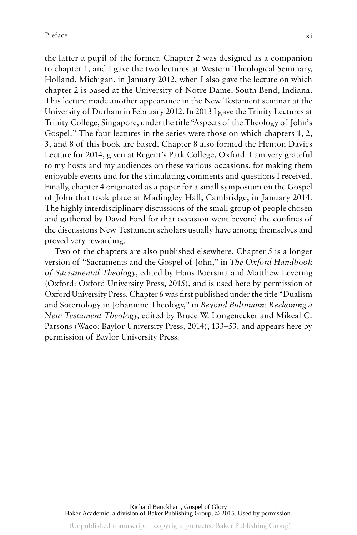the latter a pupil of the former. Chapter 2 was designed as a companion to chapter 1, and I gave the two lectures at Western Theological Seminary, Holland, Michigan, in January 2012, when I also gave the lecture on which chapter 2 is based at the University of Notre Dame, South Bend, Indiana. This lecture made another appearance in the New Testament seminar at the University of Durham in February 2012. In 2013 I gave the Trinity Lectures at Trinity College, Singapore, under the title "Aspects of the Theology of John's Gospel." The four lectures in the series were those on which chapters 1, 2, 3, and 8 of this book are based. Chapter 8 also formed the Henton Davies Lecture for 2014, given at Regent's Park College, Oxford. I am very grateful to my hosts and my audiences on these various occasions, for making them enjoyable events and for the stimulating comments and questions I received. Finally, chapter 4 originated as a paper for a small symposium on the Gospel of John that took place at Madingley Hall, Cambridge, in January 2014. The highly interdisciplinary discussions of the small group of people chosen and gathered by David Ford for that occasion went beyond the confines of the discussions New Testament scholars usually have among themselves and proved very rewarding.

Two of the chapters are also published elsewhere. Chapter 5 is a longer version of "Sacraments and the Gospel of John," in *The Oxford Handbook of Sacramental Theology*, edited by Hans Boersma and Matthew Levering (Oxford: Oxford University Press, 2015), and is used here by permission of Oxford University Press. Chapter 6 was first published under the title "Dualism and Soteriology in Johannine Theology," in *Beyond Bultmann: Reckoning a New Testament Theology,* edited by Bruce W. Longenecker and Mikeal C. Parsons (Waco: Baylor University Press, 2014), 133–53, and appears here by permission of Baylor University Press.

xi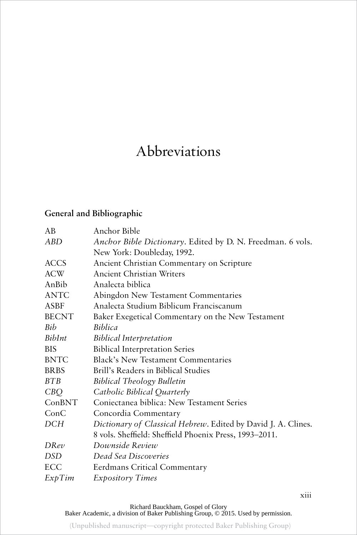# Abbreviations

#### **General and Bibliographic**

| AB           | Anchor Bible                                                  |
|--------------|---------------------------------------------------------------|
| ABD          | Anchor Bible Dictionary. Edited by D. N. Freedman. 6 vols.    |
|              | New York: Doubleday, 1992.                                    |
| <b>ACCS</b>  | Ancient Christian Commentary on Scripture                     |
| <b>ACW</b>   | <b>Ancient Christian Writers</b>                              |
| AnBib        | Analecta biblica                                              |
| <b>ANTC</b>  | Abingdon New Testament Commentaries                           |
| <b>ASBF</b>  | Analecta Studium Biblicum Franciscanum                        |
| <b>BECNT</b> | Baker Exegetical Commentary on the New Testament              |
| Bib          | Biblica                                                       |
| BibInt       | <b>Biblical Interpretation</b>                                |
| <b>BIS</b>   | <b>Biblical Interpretation Series</b>                         |
| <b>BNTC</b>  | <b>Black's New Testament Commentaries</b>                     |
| <b>BRBS</b>  | Brill's Readers in Biblical Studies                           |
| <b>BTB</b>   | <b>Biblical Theology Bulletin</b>                             |
| CBQ          | Catholic Biblical Quarterly                                   |
| ConBNT       | Coniectanea biblica: New Testament Series                     |
| ConC         | Concordia Commentary                                          |
| DCH          | Dictionary of Classical Hebrew. Edited by David J. A. Clines. |
|              | 8 vols. Sheffield: Sheffield Phoenix Press, 1993–2011.        |
| $D$ Rev      | Downside Review                                               |
| <b>DSD</b>   | Dead Sea Discoveries                                          |
| ECC          | Eerdmans Critical Commentary                                  |
| ExpTim       | <b>Expository Times</b>                                       |
|              |                                                               |

Richard Bauckham, Gospel of Glory Baker Academic, a division of Baker Publishing Group, © 2015. Used by permission.

(Unpublished manuscript—copyright protected Baker Publishing Group)

xiii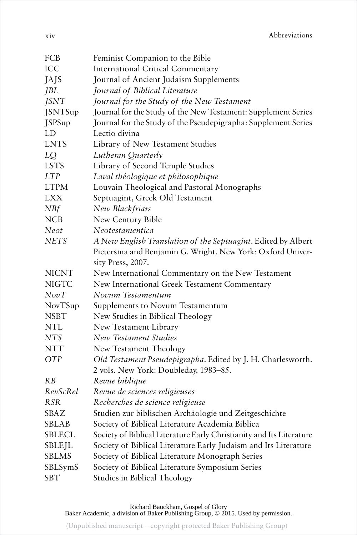| FCB            | Feminist Companion to the Bible                                      |
|----------------|----------------------------------------------------------------------|
| ICC            | <b>International Critical Commentary</b>                             |
| JAJS           | Journal of Ancient Judaism Supplements                               |
| JBL            | Journal of Biblical Literature                                       |
| <b>JSNT</b>    | Journal for the Study of the New Testament                           |
| <b>JSNTSup</b> | Journal for the Study of the New Testament: Supplement Series        |
| <b>JSPSup</b>  | Journal for the Study of the Pseudepigrapha: Supplement Series       |
| LD             | Lectio divina                                                        |
| <b>LNTS</b>    | Library of New Testament Studies                                     |
| LQ             | Lutheran Quarterly                                                   |
| LSTS           | Library of Second Temple Studies                                     |
| <b>LTP</b>     | Laval théologique et philosophique                                   |
| <b>LTPM</b>    | Louvain Theological and Pastoral Monographs                          |
| <b>LXX</b>     | Septuagint, Greek Old Testament                                      |
| NBf            | New Blackfriars                                                      |
| <b>NCB</b>     | New Century Bible                                                    |
| Neot           | Neotestamentica                                                      |
| <b>NETS</b>    | A New English Translation of the Septuagint. Edited by Albert        |
|                | Pietersma and Benjamin G. Wright. New York: Oxford Univer-           |
|                | sity Press, 2007.                                                    |
| <b>NICNT</b>   | New International Commentary on the New Testament                    |
| <b>NIGTC</b>   | New International Greek Testament Commentary                         |
| NovT           | Novum Testamentum                                                    |
| NovTSup        | Supplements to Novum Testamentum                                     |
| <b>NSBT</b>    | New Studies in Biblical Theology                                     |
| NTL            | New Testament Library                                                |
| NTS            | New Testament Studies                                                |
| NTT            | New Testament Theology                                               |
| <b>OTP</b>     | Old Testament Pseudepigrapha. Edited by J. H. Charlesworth.          |
|                | 2 vols. New York: Doubleday, 1983-85.                                |
| RB             | Revue biblique                                                       |
| RevScRel       | Revue de sciences religieuses                                        |
| <b>RSR</b>     | Recherches de science religieuse                                     |
| SBAZ           | Studien zur biblischen Archäologie und Zeitgeschichte                |
| <b>SBLAB</b>   | Society of Biblical Literature Academia Biblica                      |
| <b>SBLECL</b>  | Society of Biblical Literature Early Christianity and Its Literature |
| SBLEJL         | Society of Biblical Literature Early Judaism and Its Literature      |
| <b>SBLMS</b>   | Society of Biblical Literature Monograph Series                      |
| SBLSymS        | Society of Biblical Literature Symposium Series                      |
| <b>SBT</b>     | Studies in Biblical Theology                                         |

Richard Bauckham, Gospel of Glory

Baker Academic, a division of Baker Publishing Group, © 2015. Used by permission.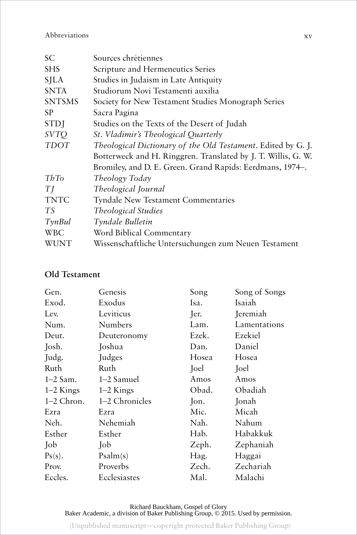| Sources chrétiennes                                           |
|---------------------------------------------------------------|
| Scripture and Hermeneutics Series                             |
| Studies in Judaism in Late Antiquity                          |
| Studiorum Novi Testamenti auxilia                             |
| Society for New Testament Studies Monograph Series            |
| Sacra Pagina                                                  |
| Studies on the Texts of the Desert of Judah                   |
| St. Vladimir's Theological Quarterly                          |
| Theological Dictionary of the Old Testament. Edited by G. J.  |
| Botterweck and H. Ringgren. Translated by J. T. Willis, G. W. |
| Bromiley, and D. E. Green. Grand Rapids: Eerdmans, 1974–.     |
| Theology Today                                                |
| Theological Journal                                           |
| <b>Tyndale New Testament Commentaries</b>                     |
| Theological Studies                                           |
| Tyndale Bulletin                                              |
| Word Biblical Commentary                                      |
| Wissenschaftliche Untersuchungen zum Neuen Testament          |
|                                                               |

#### **Old Testament**

| Gen.         | Genesis        | Song  | Song of Songs |
|--------------|----------------|-------|---------------|
| Exod.        | Exodus         | Isa.  | Isaiah        |
| Lev.         | Leviticus      | Jer.  | Jeremiah      |
| Num.         | Numbers        | Lam.  | Lamentations  |
| Deut.        | Deuteronomy    | Ezek. | Ezekiel       |
| Josh.        | Joshua         | Dan.  | Daniel        |
| Judg.        | Judges         | Hosea | Hosea         |
| Ruth         | Ruth           | Joel  | Joel          |
| $1-2$ Sam.   | 1–2 Samuel     | Amos  | Amos          |
| $1-2$ Kings  | $1-2$ Kings    | Obad. | Obadiah       |
| $1-2$ Chron. | 1-2 Chronicles | Jon.  | Jonah         |
| Ezra         | Ezra           | Mic.  | Micah         |
| Neh.         | Nehemiah       | Nah.  | Nahum         |
| Esther       | Esther         | Hab.  | Habakkuk      |
| Job          | Job            | Zeph. | Zephaniah     |
| $Ps(s)$ .    | Psalm(s)       | Hag.  | Haggai        |
| Prov.        | Proverbs       | Zech. | Zechariah     |
| Eccles.      | Ecclesiastes   | Mal.  | Malachi       |

Richard Bauckham, Gospel of Glory Baker Academic, a division of Baker Publishing Group, © 2015. Used by permission.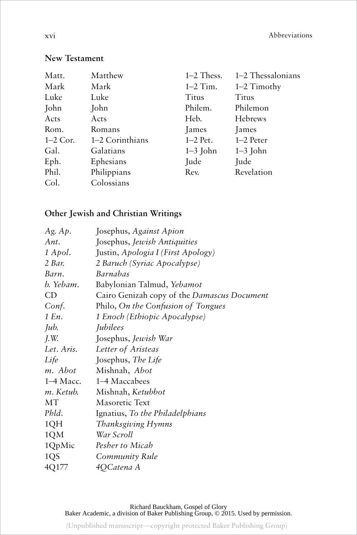#### **New Testament**

| Matt.      | Matthew         | $1-2$ Thess. | 1–2 Thessalonians |
|------------|-----------------|--------------|-------------------|
| Mark       | Mark            | $1-2$ Tim.   | 1–2 Timothy       |
| Luke       | Luke            | Titus        | Titus             |
| John       | John            | Philem.      | Philemon          |
| Acts       | Acts            | Heb.         | <b>Hebrews</b>    |
| Rom.       | Romans          | James        | James             |
| $1-2$ Cor. | 1-2 Corinthians | $1-2$ Pet.   | $1-2$ Peter       |
| Gal.       | Galatians       | $1-3$ John   | $1-3$ John        |
| Eph.       | Ephesians       | Jude         | Jude              |
| Phil.      | Philippians     | Rev.         | Revelation        |
| Col.       | Colossians      |              |                   |

#### **Other Jewish and Christian Writings**

| Ag. $Ap.$  | Josephus, Against Apion                     |
|------------|---------------------------------------------|
| Ant.       | Josephus, Jewish Antiquities                |
| $1$ Apol.  | Justin, Apologia I (First Apology)          |
| $2$ Bar.   | 2 Baruch (Syriac Apocalypse)                |
| Barn.      | Barnabas                                    |
| b. Yebam.  | Babylonian Talmud, Yebamot                  |
| CD         | Cairo Genizah copy of the Damascus Document |
| Conf.      | Philo, On the Confusion of Tongues          |
| $1 En$ .   | 1 Enoch (Ethiopic Apocalypse)               |
| Jub.       | <i>Jubilees</i>                             |
| J.W.       | Josephus, Jewish War                        |
| Let. Aris. | Letter of Aristeas                          |
| Life       | Josephus, The Life                          |
|            | m. Abot Mishnah, Abot                       |
| 1–4 Macc.  | 1–4 Maccabees                               |
| m. Ketub.  | Mishnah, Ketubbot                           |
| МT         | Masoretic Text                              |
| Phld.      | Ignatius, To the Philadelphians             |
| 1QH        | Thanksgiving Hymns                          |
| 1QM        | War Scroll                                  |
| 1QpMic     | Pesher to Micah                             |
| 1QS        | Community Rule                              |
| 4Q177      | 4OCatena A                                  |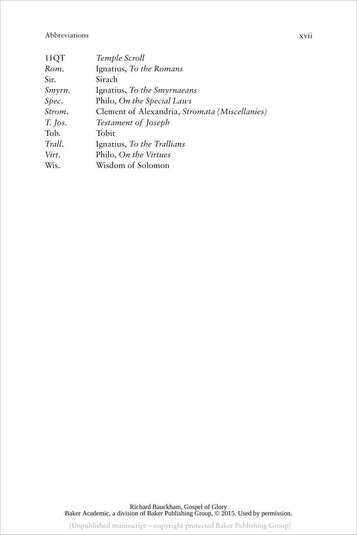| 11QT      | Temple Scroll                                  |
|-----------|------------------------------------------------|
| Rom.      | Ignatius, To the Romans                        |
| Sir.      | Sirach                                         |
| Smyrn.    | Ignatius, To the Smyrnaeans                    |
| Spec.     | Philo, On the Special Laws                     |
| Strom.    | Clement of Alexandria, Stromata (Miscellanies) |
| $T.$ Jos. | <b>Testament of Joseph</b>                     |
| Tob.      | Tobit                                          |
| Trall.    | Ignatius, To the Trallians                     |
| Virt.     | Philo, On the Virtues                          |
| Wis.      | Wisdom of Solomon                              |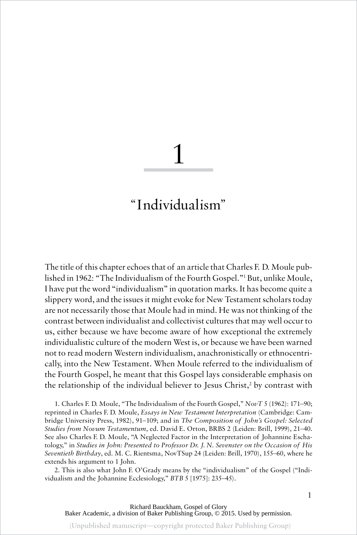1

# "Individualism"

The title of this chapter echoes that of an article that Charles F. D. Moule published in 1962: "The Individualism of the Fourth Gospel."1 But, unlike Moule, I have put the word "individualism" in quotation marks. It has become quite a slippery word, and the issues it might evoke for New Testament scholars today are not necessarily those that Moule had in mind. He was not thinking of the contrast between individualist and collectivist cultures that may well occur to us, either because we have become aware of how exceptional the extremely individualistic culture of the modern West is, or because we have been warned not to read modern Western individualism, anachronistically or ethnocentrically, into the New Testament. When Moule referred to the individualism of the Fourth Gospel, he meant that this Gospel lays considerable emphasis on the relationship of the individual believer to Jesus Christ,<sup>2</sup> by contrast with

1. Charles F. D. Moule, "The Individualism of the Fourth Gospel," *NovT* 5 (1962): 171–90; reprinted in Charles F. D. Moule, *Essays in New Testament Interpretation* (Cambridge: Cambridge University Press, 1982), 91–109; and in *The Composition of John's Gospel: Selected Studies from Novum Testamentum*, ed. David E. Orton, BRBS 2 (Leiden: Brill, 1999), 21–40. See also Charles F. D. Moule, "A Neglected Factor in the Interpretation of Johannine Eschatology," in *Studies in John: Presented to Professor Dr. J. N. Sevenster on the Occasion of His Seventieth Birthday*, ed. M. C. Rientsma, NovTSup 24 (Leiden: Brill, 1970), 155–60, where he extends his argument to 1 John.

2. This is also what John F. O'Grady means by the "individualism" of the Gospel ("Individualism and the Johannine Ecclesiology," *BTB* 5 [1975]: 235–45).

Richard Bauckham, Gospel of Glory Baker Academic, a division of Baker Publishing Group, © 2015. Used by permission.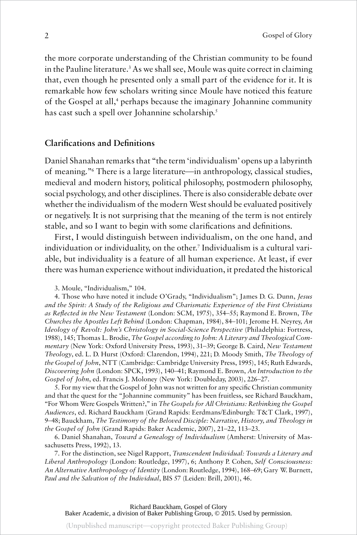the more corporate understanding of the Christian community to be found in the Pauline literature.<sup>3</sup> As we shall see, Moule was quite correct in claiming that, even though he presented only a small part of the evidence for it. It is remarkable how few scholars writing since Moule have noticed this feature of the Gospel at all,<sup>4</sup> perhaps because the imaginary Johannine community has cast such a spell over Johannine scholarship.<sup>5</sup>

#### **Clarifications and Definitions**

Daniel Shanahan remarks that "the term 'individualism' opens up a labyrinth of meaning."6 There is a large literature—in anthropology, classical studies, medieval and modern history, political philosophy, postmodern philosophy, social psychology, and other disciplines. There is also considerable debate over whether the individualism of the modern West should be evaluated positively or negatively. It is not surprising that the meaning of the term is not entirely stable, and so I want to begin with some clarifications and definitions.

First, I would distinguish between individualism, on the one hand, and individuation or individuality, on the other.7 Individualism is a cultural variable, but individuality is a feature of all human experience. At least, if ever there was human experience without individuation, it predated the historical

3. Moule, "Individualism," 104.

4. Those who have noted it include O'Grady, "Individualism"; James D. G. Dunn, *Jesus and the Spirit: A Study of the Religious and Charismatic Experience of the First Christians as Reflected in the New Testament* (London: SCM, 1975), 354–55; Raymond E. Brown, *The Churches the Apostles Left Behind* (London: Chapman, 1984), 84–101; Jerome H. Neyrey, *An Ideology of Revolt: John's Christology in Social-Science Perspective* (Philadelphia: Fortress, 1988), 145; Thomas L. Brodie, *The Gospel according to John: A Literary and Theological Commentary* (New York: Oxford University Press, 1993), 31–39; George B. Caird, *New Testament Theology*, ed. L. D. Hurst (Oxford: Clarendon, 1994), 221; D. Moody Smith, *The Theology of the Gospel of John*, NTT (Cambridge: Cambridge University Press, 1995), 145; Ruth Edwards, *Discovering John* (London: SPCK, 1993), 140–41; Raymond E. Brown, *An Introduction to the Gospel of John*, ed. Francis J. Moloney (New York: Doubleday, 2003), 226–27.

5. For my view that the Gospel of John was not written for any specific Christian community and that the quest for the "Johannine community" has been fruitless, see Richard Bauckham, "For Whom Were Gospels Written?," in *The Gospels for All Christians: Rethinking the Gospel Audiences*, ed. Richard Bauckham (Grand Rapids: Eerdmans/Edinburgh: T&T Clark, 1997), 9–48; Bauckham, *The Testimony of the Beloved Disciple: Narrative, History, and Theology in the Gospel of John* (Grand Rapids: Baker Academic, 2007), 21–22, 113–23.

6. Daniel Shanahan, *Toward a Genealogy of Individualism* (Amherst: University of Massachusetts Press, 1992), 13.

7. For the distinction, see Nigel Rapport, *Transcendent Individual: Towards a Literary and Liberal Anthropology* (London: Routledge, 1997), 6; Anthony P. Cohen, *Self Consciousness: An Alternative Anthropology of Identity* (London: Routledge, 1994), 168–69; Gary W. Burnett, *Paul and the Salvation of the Individual*, BIS 57 (Leiden: Brill, 2001), 46.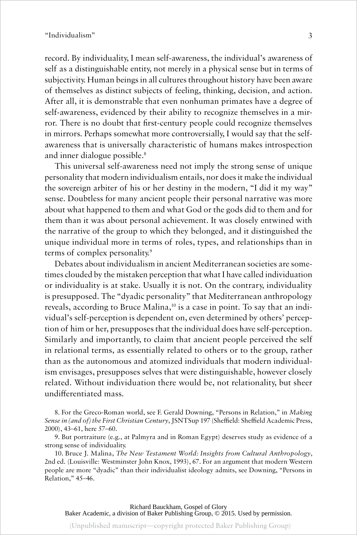record. By individuality, I mean self-awareness, the individual's awareness of self as a distinguishable entity, not merely in a physical sense but in terms of subjectivity. Human beings in all cultures throughout history have been aware of themselves as distinct subjects of feeling, thinking, decision, and action. After all, it is demonstrable that even nonhuman primates have a degree of self-awareness, evidenced by their ability to recognize themselves in a mirror. There is no doubt that first-century people could recognize themselves in mirrors. Perhaps somewhat more controversially, I would say that the selfawareness that is universally characteristic of humans makes introspection and inner dialogue possible.<sup>8</sup>

This universal self-awareness need not imply the strong sense of unique personality that modern individualism entails, nor does it make the individual the sovereign arbiter of his or her destiny in the modern, "I did it my way" sense. Doubtless for many ancient people their personal narrative was more about what happened to them and what God or the gods did to them and for them than it was about personal achievement. It was closely entwined with the narrative of the group to which they belonged, and it distinguished the unique individual more in terms of roles, types, and relationships than in terms of complex personality.<sup>9</sup>

Debates about individualism in ancient Mediterranean societies are sometimes clouded by the mistaken perception that what I have called individuation or individuality is at stake. Usually it is not. On the contrary, individuality is presupposed. The "dyadic personality" that Mediterranean anthropology reveals, according to Bruce Malina,<sup>10</sup> is a case in point. To say that an individual's self-perception is dependent on, even determined by others' perception of him or her, presupposes that the individual does have self-perception. Similarly and importantly, to claim that ancient people perceived the self in relational terms, as essentially related to others or to the group, rather than as the autonomous and atomized individuals that modern individualism envisages, presupposes selves that were distinguishable, however closely related. Without individuation there would be, not relationality, but sheer undifferentiated mass.

10. Bruce J. Malina, *The New Testament World: Insights from Cultural Anthropology*, 2nd ed. (Louisville: Westminster John Knox, 1993), 67. For an argument that modern Western people are more "dyadic" than their individualist ideology admits, see Downing, "Persons in Relation," 45–46.

Richard Bauckham, Gospel of Glory Baker Academic, a division of Baker Publishing Group, © 2015. Used by permission.

<sup>8.</sup> For the Greco-Roman world, see F. Gerald Downing, "Persons in Relation," in *Making Sense in (and of) the First Christian Century*, JSNTSup 197 (Sheffield: Sheffield Academic Press, 2000), 43–61, here 57–60.

<sup>9.</sup> But portraiture (e.g., at Palmyra and in Roman Egypt) deserves study as evidence of a strong sense of individuality.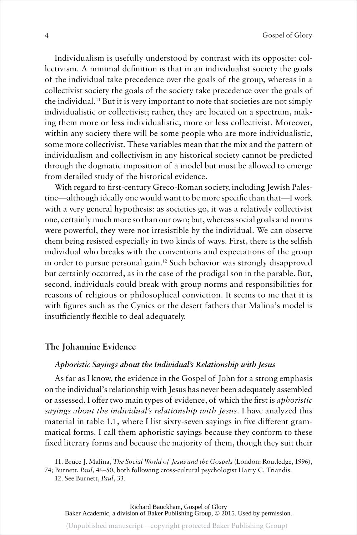Individualism is usefully understood by contrast with its opposite: collectivism. A minimal definition is that in an individualist society the goals of the individual take precedence over the goals of the group, whereas in a collectivist society the goals of the society take precedence over the goals of the individual.11 But it is very important to note that societies are not simply individualistic or collectivist; rather, they are located on a spectrum, making them more or less individualistic, more or less collectivist. Moreover, within any society there will be some people who are more individualistic, some more collectivist. These variables mean that the mix and the pattern of individualism and collectivism in any historical society cannot be predicted through the dogmatic imposition of a model but must be allowed to emerge from detailed study of the historical evidence.

With regard to first-century Greco-Roman society, including Jewish Palestine—although ideally one would want to be more specific than that—I work with a very general hypothesis: as societies go, it was a relatively collectivist one, certainly much more so than our own; but, whereas social goals and norms were powerful, they were not irresistible by the individual. We can observe them being resisted especially in two kinds of ways. First, there is the selfish individual who breaks with the conventions and expectations of the group in order to pursue personal gain.12 Such behavior was strongly disapproved but certainly occurred, as in the case of the prodigal son in the parable. But, second, individuals could break with group norms and responsibilities for reasons of religious or philosophical conviction. It seems to me that it is with figures such as the Cynics or the desert fathers that Malina's model is insufficiently flexible to deal adequately.

#### **The Johannine Evidence**

#### *Aphoristic Sayings about the Individual's Relationship with Jesus*

As far as I know, the evidence in the Gospel of John for a strong emphasis on the individual's relationship with Jesus has never been adequately assembled or assessed. I offer two main types of evidence, of which the first is *aphoristic sayings about the individual's relationship with Jesus*. I have analyzed this material in table 1.1, where I list sixty-seven sayings in five different grammatical forms. I call them aphoristic sayings because they conform to these fixed literary forms and because the majority of them, though they suit their

11. Bruce J. Malina, *The Social World of Jesus and the Gospels* (London: Routledge, 1996), 74; Burnett, *Paul*, 46–50, both following cross-cultural psychologist Harry C. Triandis.

12. See Burnett, *Paul*, 33.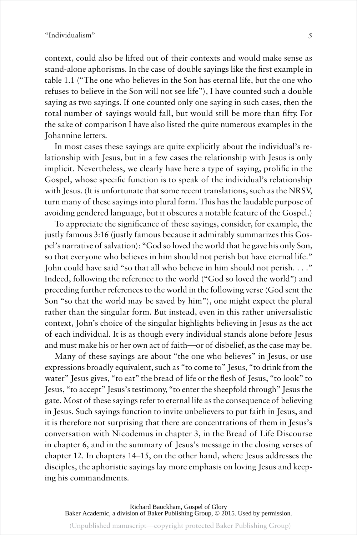context, could also be lifted out of their contexts and would make sense as stand-alone aphorisms. In the case of double sayings like the first example in table 1.1 ("The one who believes in the Son has eternal life, but the one who refuses to believe in the Son will not see life"), I have counted such a double saying as two sayings. If one counted only one saying in such cases, then the total number of sayings would fall, but would still be more than fifty. For the sake of comparison I have also listed the quite numerous examples in the Johannine letters.

In most cases these sayings are quite explicitly about the individual's relationship with Jesus, but in a few cases the relationship with Jesus is only implicit. Nevertheless, we clearly have here a type of saying, prolific in the Gospel, whose specific function is to speak of the individual's relationship with Jesus. (It is unfortunate that some recent translations, such as the NRSV, turn many of these sayings into plural form. This has the laudable purpose of avoiding gendered language, but it obscures a notable feature of the Gospel.)

To appreciate the significance of these sayings, consider, for example, the justly famous 3:16 (justly famous because it admirably summarizes this Gospel's narrative of salvation): "God so loved the world that he gave his only Son, so that everyone who believes in him should not perish but have eternal life." John could have said "so that all who believe in him should not perish. . . ." Indeed, following the reference to the world ("God so loved the world") and preceding further references to the world in the following verse (God sent the Son "so that the world may be saved by him"), one might expect the plural rather than the singular form. But instead, even in this rather universalistic context, John's choice of the singular highlights believing in Jesus as the act of each individual. It is as though every individual stands alone before Jesus and must make his or her own act of faith—or of disbelief, as the case may be.

Many of these sayings are about "the one who believes" in Jesus, or use expressions broadly equivalent, such as "to come to" Jesus, "to drink from the water" Jesus gives, "to eat" the bread of life or the flesh of Jesus, "to look" to Jesus, "to accept" Jesus's testimony, "to enter the sheepfold through" Jesus the gate. Most of these sayings refer to eternal life as the consequence of believing in Jesus. Such sayings function to invite unbelievers to put faith in Jesus, and it is therefore not surprising that there are concentrations of them in Jesus's conversation with Nicodemus in chapter 3, in the Bread of Life Discourse in chapter 6, and in the summary of Jesus's message in the closing verses of chapter 12. In chapters 14–15, on the other hand, where Jesus addresses the disciples, the aphoristic sayings lay more emphasis on loving Jesus and keeping his commandments.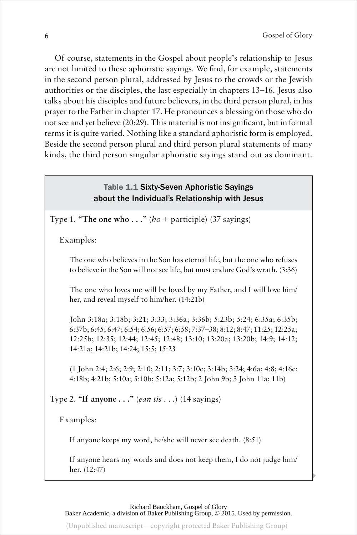Of course, statements in the Gospel about people's relationship to Jesus are not limited to these aphoristic sayings. We find, for example, statements in the second person plural, addressed by Jesus to the crowds or the Jewish authorities or the disciples, the last especially in chapters 13–16. Jesus also talks about his disciples and future believers, in the third person plural, in his prayer to the Father in chapter 17. He pronounces a blessing on those who do not see and yet believe (20:29). This material is not insignificant, but in formal terms it is quite varied. Nothing like a standard aphoristic form is employed. Beside the second person plural and third person plural statements of many kinds, the third person singular aphoristic sayings stand out as dominant.

#### Table 1.1 Sixty-Seven Aphoristic Sayings about the Individual's Relationship with Jesus

Type 1. **"The one who . . ."** (*ho* + participle) (37 sayings)

Examples:

The one who believes in the Son has eternal life, but the one who refuses to believe in the Son will not see life, but must endure God's wrath. (3:36)

The one who loves me will be loved by my Father, and I will love him/ her, and reveal myself to him/her. (14:21b)

John 3:18a; 3:18b; 3:21; 3:33; 3:36a; 3:36b; 5:23b; 5:24; 6:35a; 6:35b; 6:37b; 6:45; 6:47; 6:54; 6:56; 6:57; 6:58; 7:37–38; 8:12; 8:47; 11:25; 12:25a; 12:25b; 12:35; 12:44; 12:45; 12:48; 13:10; 13:20a; 13:20b; 14:9; 14:12; 14:21a; 14:21b; 14:24; 15:5; 15:23

(1 John 2:4; 2:6; 2:9; 2:10; 2:11; 3:7; 3:10c; 3:14b; 3:24; 4:6a; 4:8; 4:16c; 4:18b; 4:21b; 5:10a; 5:10b; 5:12a; 5:12b; 2 John 9b; 3 John 11a; 11b)

Type 2. **"If anyone . . ."** (*ean tis* . . .) (14 sayings)

Examples:

If anyone keeps my word, he/she will never see death. (8:51)

If anyone hears my words and does not keep them, I do not judge him/ her. (12:47)

#### Richard Bauckham, Gospel of Glory

Baker Academic, a division of Baker Publishing Group, © 2015. Used by permission.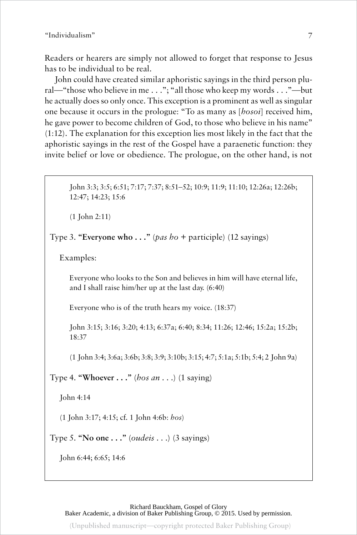Readers or hearers are simply not allowed to forget that response to Jesus has to be individual to be real.

John could have created similar aphoristic sayings in the third person plural—"those who believe in me . . ."; "all those who keep my words . . ."—but he actually does so only once. This exception is a prominent as well as singular one because it occurs in the prologue: "To as many as [*hosoi*] received him, he gave power to become children of God, to those who believe in his name" (1:12). The explanation for this exception lies most likely in the fact that the aphoristic sayings in the rest of the Gospel have a paraenetic function: they invite belief or love or obedience. The prologue, on the other hand, is not

John 3:3; 3:5; 6:51; 7:17; 7:37; 8:51–52; 10:9; 11:9; 11:10; 12:26a; 12:26b; 12:47; 14:23; 15:6

(1 John 2:11)

Type 3. **"Everyone who . . ."** (*pas ho* + participle) (12 sayings)

Examples:

Everyone who looks to the Son and believes in him will have eternal life, and I shall raise him/her up at the last day. (6:40)

Everyone who is of the truth hears my voice. (18:37)

John 3:15; 3:16; 3:20; 4:13; 6:37a; 6:40; 8:34; 11:26; 12:46; 15:2a; 15:2b; 18:37

(1 John 3:4; 3:6a; 3:6b; 3:8; 3:9; 3:10b; 3:15; 4:7; 5:1a; 5:1b; 5:4; 2 John 9a)

Type 4. **"Whoever . . ."** (*hos an* . . .) (1 saying)

```
John 4:14
```
(1 John 3:17; 4:15; cf. 1 John 4:6b: *hos*)

Type 5. **"No one . . ."** (*oudeis* . . .) (3 sayings)

John 6:44; 6:65; 14:6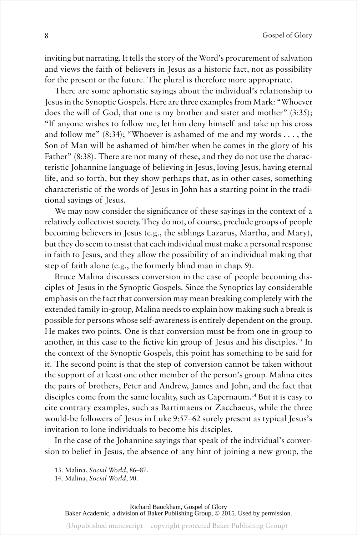inviting but narrating. It tells the story of the Word's procurement of salvation and views the faith of believers in Jesus as a historic fact, not as possibility for the present or the future. The plural is therefore more appropriate.

There are some aphoristic sayings about the individual's relationship to Jesus in the Synoptic Gospels. Here are three examples from Mark: "Whoever does the will of God, that one is my brother and sister and mother" (3:35); "If anyone wishes to follow me, let him deny himself and take up his cross and follow me" (8:34); "Whoever is ashamed of me and my words . . . , the Son of Man will be ashamed of him/her when he comes in the glory of his Father" (8:38). There are not many of these, and they do not use the characteristic Johannine language of believing in Jesus, loving Jesus, having eternal life, and so forth, but they show perhaps that, as in other cases, something characteristic of the words of Jesus in John has a starting point in the traditional sayings of Jesus.

We may now consider the significance of these sayings in the context of a relatively collectivist society. They do not, of course, preclude groups of people becoming believers in Jesus (e.g., the siblings Lazarus, Martha, and Mary), but they do seem to insist that each individual must make a personal response in faith to Jesus, and they allow the possibility of an individual making that step of faith alone (e.g., the formerly blind man in chap. 9).

Bruce Malina discusses conversion in the case of people becoming disciples of Jesus in the Synoptic Gospels. Since the Synoptics lay considerable emphasis on the fact that conversion may mean breaking completely with the extended family in-group, Malina needs to explain how making such a break is possible for persons whose self-awareness is entirely dependent on the group. He makes two points. One is that conversion must be from one in-group to another, in this case to the fictive kin group of Jesus and his disciples.13 In the context of the Synoptic Gospels, this point has something to be said for it. The second point is that the step of conversion cannot be taken without the support of at least one other member of the person's group. Malina cites the pairs of brothers, Peter and Andrew, James and John, and the fact that disciples come from the same locality, such as Capernaum.14 But it is easy to cite contrary examples, such as Bartimaeus or Zacchaeus, while the three would-be followers of Jesus in Luke 9:57–62 surely present as typical Jesus's invitation to lone individuals to become his disciples.

In the case of the Johannine sayings that speak of the individual's conversion to belief in Jesus, the absence of any hint of joining a new group, the

14. Malina, *Social World*, 90.

<sup>13.</sup> Malina, *Social World*, 86–87.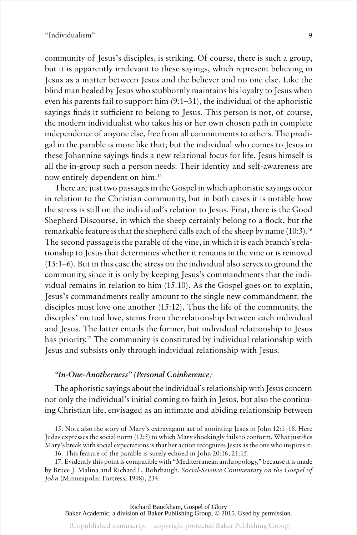community of Jesus's disciples, is striking. Of course, there is such a group, but it is apparently irrelevant to these sayings, which represent believing in Jesus as a matter between Jesus and the believer and no one else. Like the blind man healed by Jesus who stubbornly maintains his loyalty to Jesus when even his parents fail to support him (9:1–31), the individual of the aphoristic sayings finds it sufficient to belong to Jesus. This person is not, of course, the modern individualist who takes his or her own chosen path in complete independence of anyone else, free from all commitments to others. The prodigal in the parable is more like that; but the individual who comes to Jesus in these Johannine sayings finds a new relational focus for life. Jesus himself is all the in-group such a person needs. Their identity and self-awareness are now entirely dependent on him.15

There are just two passages in the Gospel in which aphoristic sayings occur in relation to the Christian community, but in both cases it is notable how the stress is still on the individual's relation to Jesus. First, there is the Good Shepherd Discourse, in which the sheep certainly belong to a flock, but the remarkable feature is that the shepherd calls each of the sheep by name (10:3).16 The second passage is the parable of the vine, in which it is each branch's relationship to Jesus that determines whether it remains in the vine or is removed (15:1–6). But in this case the stress on the individual also serves to ground the community, since it is only by keeping Jesus's commandments that the individual remains in relation to him (15:10). As the Gospel goes on to explain, Jesus's commandments really amount to the single new commandment: the disciples must love one another (15:12). Thus the life of the community, the disciples' mutual love, stems from the relationship between each individual and Jesus. The latter entails the former, but individual relationship to Jesus has priority.<sup>17</sup> The community is constituted by individual relationship with Jesus and subsists only through individual relationship with Jesus.

#### *"In-One-Anotherness" (Personal Coinherence)*

The aphoristic sayings about the individual's relationship with Jesus concern not only the individual's initial coming to faith in Jesus, but also the continuing Christian life, envisaged as an intimate and abiding relationship between

15. Note also the story of Mary's extravagant act of anointing Jesus in John 12:1–18. Here Judas expresses the social norm (12:5) to which Mary shockingly fails to conform. What justifies Mary's break with social expectations is that her action recognizes Jesus as the one who inspires it.

16. This feature of the parable is surely echoed in John 20:16; 21:15.

17. Evidently this point is compatible with "Mediterranean anthropology," because it is made by Bruce J. Malina and Richard L. Rohrbaugh, *Social-Science Commentary on the Gospel of John* (Minneapolis: Fortress, 1998), 234.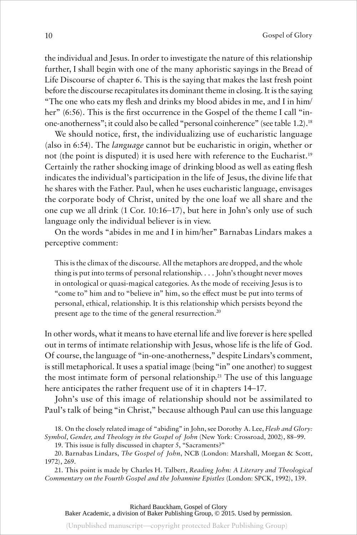the individual and Jesus. In order to investigate the nature of this relationship further, I shall begin with one of the many aphoristic sayings in the Bread of Life Discourse of chapter 6. This is the saying that makes the last fresh point before the discourse recapitulates its dominant theme in closing. It is the saying "The one who eats my flesh and drinks my blood abides in me, and I in him/ her" (6:56). This is the first occurrence in the Gospel of the theme I call "inone-anotherness"; it could also be called "personal coinherence" (see table 1.2).18

We should notice, first, the individualizing use of eucharistic language (also in 6:54). The *language* cannot but be eucharistic in origin, whether or not (the point is disputed) it is used here with reference to the Eucharist.19 Certainly the rather shocking image of drinking blood as well as eating flesh indicates the individual's participation in the life of Jesus, the divine life that he shares with the Father. Paul, when he uses eucharistic language, envisages the corporate body of Christ, united by the one loaf we all share and the one cup we all drink (1 Cor. 10:16–17), but here in John's only use of such language only the individual believer is in view.

On the words "abides in me and I in him/her" Barnabas Lindars makes a perceptive comment:

This is the climax of the discourse. All the metaphors are dropped, and the whole thing is put into terms of personal relationship. . . . John's thought never moves in ontological or quasi-magical categories. As the mode of receiving Jesus is to "come to" him and to "believe in" him, so the effect must be put into terms of personal, ethical, relationship. It is this relationship which persists beyond the present age to the time of the general resurrection.20

In other words, what it means to have eternal life and live forever is here spelled out in terms of intimate relationship with Jesus, whose life is the life of God. Of course, the language of "in-one-anotherness," despite Lindars's comment, is still metaphorical. It uses a spatial image (being "in" one another) to suggest the most intimate form of personal relationship.<sup>21</sup> The use of this language here anticipates the rather frequent use of it in chapters 14–17.

John's use of this image of relationship should not be assimilated to Paul's talk of being "in Christ," because although Paul can use this language

18. On the closely related image of "abiding" in John, see Dorothy A. Lee, *Flesh and Glory: Symbol, Gender, and Theology in the Gospel of John* (New York: Crossroad, 2002), 88–99.

19. This issue is fully discussed in chapter 5, "Sacraments?"

20. Barnabas Lindars, *The Gospel of John*, NCB (London: Marshall, Morgan & Scott, 1972), 269.

21. This point is made by Charles H. Talbert, *Reading John: A Literary and Theological Commentary on the Fourth Gospel and the Johannine Epistles* (London: SPCK, 1992), 139.

Richard Bauckham, Gospel of Glory

Baker Academic, a division of Baker Publishing Group, © 2015. Used by permission.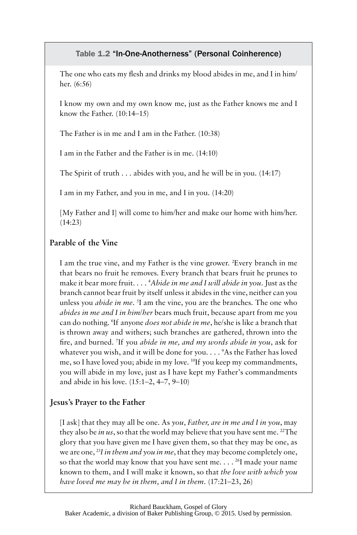#### Table 1.2 "In-One-Anotherness" (Personal Coinherence)

The one who eats my flesh and drinks my blood abides in me, and I in him/ her. (6:56)

I know my own and my own know me, just as the Father knows me and I know the Father. (10:14–15)

The Father is in me and I am in the Father. (10:38)

I am in the Father and the Father is in me. (14:10)

The Spirit of truth . . . abides with you, and he will be in you. (14:17)

I am in my Father, and you in me, and I in you. (14:20)

[My Father and I] will come to him/her and make our home with him/her. (14:23)

#### **Parable of the Vine**

I am the true vine, and my Father is the vine grower. <sup>2</sup>Every branch in me that bears no fruit he removes. Every branch that bears fruit he prunes to make it bear more fruit. . . . 4 *Abide in me and I will abide in you.* Just as the branch cannot bear fruit by itself unless it abides in the vine, neither can you unless you *abide in me*. <sup>5</sup>I am the vine, you are the branches. The one who *abides in me and I in him/her* bears much fruit, because apart from me you can do nothing. 6 If anyone *does not abide in me*, he/she is like a branch that is thrown away and withers; such branches are gathered, thrown into the fire, and burned. 7 If you *abide in me, and my words abide in you*, ask for whatever you wish, and it will be done for you.... $\beta$ As the Father has loved me, so I have loved you; abide in my love. 10If you keep my commandments, you will abide in my love, just as I have kept my Father's commandments and abide in his love. (15:1–2, 4–7, 9–10)

#### **Jesus's Prayer to the Father**

[I ask] that they may all be one. As *you, Father, are in me and I in you*, may they also be *in us*, so that the world may believe that you have sent me. <sup>22</sup>The glory that you have given me I have given them, so that they may be one, as we are one, 23*I in them and you in me*, that they may become completely one, so that the world may know that you have sent me....<sup>26</sup>I made your name known to them, and I will make it known, so that *the love with which you have loved me may be in them, and I in them*. (17:21–23, 26)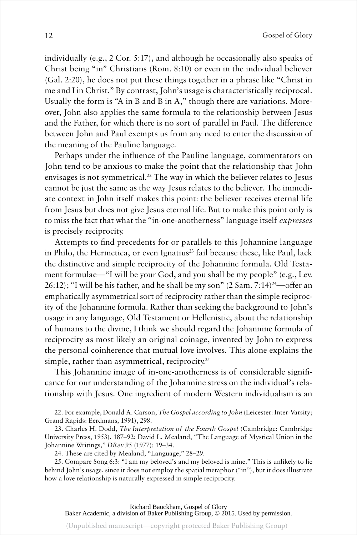individually (e.g., 2 Cor. 5:17), and although he occasionally also speaks of Christ being "in" Christians (Rom. 8:10) or even in the individual believer (Gal. 2:20), he does not put these things together in a phrase like "Christ in me and I in Christ." By contrast, John's usage is characteristically reciprocal. Usually the form is "A in B and B in A," though there are variations. Moreover, John also applies the same formula to the relationship between Jesus and the Father, for which there is no sort of parallel in Paul. The difference between John and Paul exempts us from any need to enter the discussion of the meaning of the Pauline language.

Perhaps under the influence of the Pauline language, commentators on John tend to be anxious to make the point that the relationship that John envisages is not symmetrical.<sup>22</sup> The way in which the believer relates to Jesus cannot be just the same as the way Jesus relates to the believer. The immediate context in John itself makes this point: the believer receives eternal life from Jesus but does not give Jesus eternal life. But to make this point only is to miss the fact that what the "in-one-anotherness" language itself *expresses* is precisely reciprocity.

Attempts to find precedents for or parallels to this Johannine language in Philo, the Hermetica, or even Ignatius<sup>23</sup> fail because these, like Paul, lack the distinctive and simple reciprocity of the Johannine formula. Old Testament formulae—"I will be your God, and you shall be my people" (e.g., Lev. 26:12); "I will be his father, and he shall be my son"  $(2 \text{ Sam. } 7:14)^{24}$ —offer an emphatically asymmetrical sort of reciprocity rather than the simple reciprocity of the Johannine formula. Rather than seeking the background to John's usage in any language, Old Testament or Hellenistic, about the relationship of humans to the divine, I think we should regard the Johannine formula of reciprocity as most likely an original coinage, invented by John to express the personal coinherence that mutual love involves. This alone explains the simple, rather than asymmetrical, reciprocity.<sup>25</sup>

This Johannine image of in-one-anotherness is of considerable significance for our understanding of the Johannine stress on the individual's relationship with Jesus. One ingredient of modern Western individualism is an

22. For example, Donald A. Carson, *The Gospel according to John* (Leicester: Inter-Varsity; Grand Rapids: Eerdmans, 1991), 298.

23. Charles H. Dodd, *The Interpretation of the Fourth Gospel* (Cambridge: Cambridge University Press, 1953), 187–92; David L. Mealand, "The Language of Mystical Union in the Johannine Writings," *DRev* 95 (1977): 19–34.

24. These are cited by Mealand, "Language," 28–29.

25. Compare Song 6:3: "I am my beloved's and my beloved is mine." This is unlikely to lie behind John's usage, since it does not employ the spatial metaphor ("in"), but it does illustrate how a love relationship is naturally expressed in simple reciprocity.

Richard Bauckham, Gospel of Glory Baker Academic, a division of Baker Publishing Group, © 2015. Used by permission.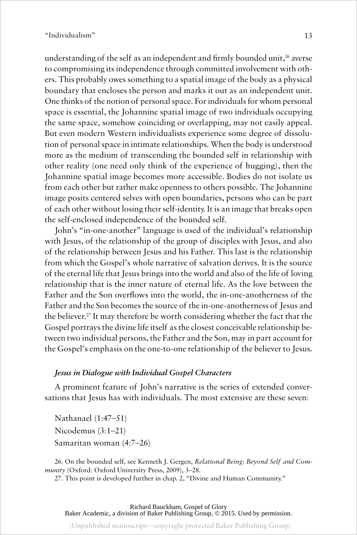understanding of the self as an independent and firmly bounded unit,<sup>26</sup> averse to compromising its independence through committed involvement with others. This probably owes something to a spatial image of the body as a physical boundary that encloses the person and marks it out as an independent unit. One thinks of the notion of personal space. For individuals for whom personal space is essential, the Johannine spatial image of two individuals occupying the same space, somehow coinciding or overlapping, may not easily appeal. But even modern Western individualists experience some degree of dissolution of personal space in intimate relationships. When the body is understood more as the medium of transcending the bounded self in relationship with other reality (one need only think of the experience of hugging), then the Johannine spatial image becomes more accessible. Bodies do not isolate us from each other but rather make openness to others possible. The Johannine image posits centered selves with open boundaries, persons who can be part of each other without losing their self-identity. It is an image that breaks open the self-enclosed independence of the bounded self.

John's "in-one-another" language is used of the individual's relationship with Jesus, of the relationship of the group of disciples with Jesus, and also of the relationship between Jesus and his Father. This last is the relationship from which the Gospel's whole narrative of salvation derives. It is the source of the eternal life that Jesus brings into the world and also of the life of loving relationship that is the inner nature of eternal life. As the love between the Father and the Son overflows into the world, the in-one-anotherness of the Father and the Son becomes the source of the in-one-anotherness of Jesus and the believer.<sup>27</sup> It may therefore be worth considering whether the fact that the Gospel portrays the divine life itself as the closest conceivable relationship between two individual persons, the Father and the Son, may in part account for the Gospel's emphasis on the one-to-one relationship of the believer to Jesus.

#### *Jesus in Dialogue with Individual Gospel Characters*

A prominent feature of John's narrative is the series of extended conversations that Jesus has with individuals. The most extensive are these seven:

Nathanael (1:47–51) Nicodemus (3:1–21) Samaritan woman (4:7–26)

26. On the bounded self, see Kenneth J. Gergen, *Relational Being: Beyond Self and Community* (Oxford: Oxford University Press, 2009), 3–28.

27. This point is developed further in chap. 2, "Divine and Human Community."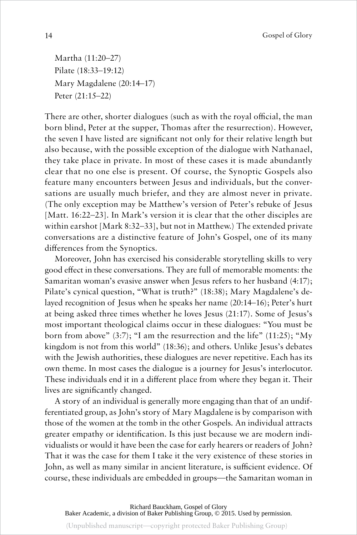Martha (11:20–27) Pilate (18:33–19:12) Mary Magdalene (20:14–17) Peter (21:15–22)

There are other, shorter dialogues (such as with the royal official, the man born blind, Peter at the supper, Thomas after the resurrection). However, the seven I have listed are significant not only for their relative length but also because, with the possible exception of the dialogue with Nathanael, they take place in private. In most of these cases it is made abundantly clear that no one else is present. Of course, the Synoptic Gospels also feature many encounters between Jesus and individuals, but the conversations are usually much briefer, and they are almost never in private. (The only exception may be Matthew's version of Peter's rebuke of Jesus [Matt. 16:22–23]. In Mark's version it is clear that the other disciples are within earshot [Mark 8:32–33], but not in Matthew.) The extended private conversations are a distinctive feature of John's Gospel, one of its many differences from the Synoptics.

Moreover, John has exercised his considerable storytelling skills to very good effect in these conversations. They are full of memorable moments: the Samaritan woman's evasive answer when Jesus refers to her husband (4:17); Pilate's cynical question, "What is truth?" (18:38); Mary Magdalene's delayed recognition of Jesus when he speaks her name (20:14–16); Peter's hurt at being asked three times whether he loves Jesus (21:17). Some of Jesus's most important theological claims occur in these dialogues: "You must be born from above" (3:7); "I am the resurrection and the life" (11:25); "My kingdom is not from this world" (18:36); and others. Unlike Jesus's debates with the Jewish authorities, these dialogues are never repetitive. Each has its own theme. In most cases the dialogue is a journey for Jesus's interlocutor. These individuals end it in a different place from where they began it. Their lives are significantly changed.

A story of an individual is generally more engaging than that of an undifferentiated group, as John's story of Mary Magdalene is by comparison with those of the women at the tomb in the other Gospels. An individual attracts greater empathy or identification. Is this just because we are modern individualists or would it have been the case for early hearers or readers of John? That it was the case for them I take it the very existence of these stories in John, as well as many similar in ancient literature, is sufficient evidence. Of course, these individuals are embedded in groups—the Samaritan woman in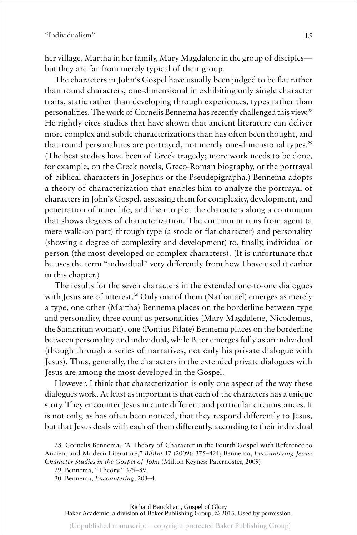her village, Martha in her family, Mary Magdalene in the group of disciples but they are far from merely typical of their group.

The characters in John's Gospel have usually been judged to be flat rather than round characters, one-dimensional in exhibiting only single character traits, static rather than developing through experiences, types rather than personalities. The work of Cornelis Bennema has recently challenged this view.28 He rightly cites studies that have shown that ancient literature can deliver more complex and subtle characterizations than has often been thought, and that round personalities are portrayed, not merely one-dimensional types.<sup>29</sup> (The best studies have been of Greek tragedy; more work needs to be done, for example, on the Greek novels, Greco-Roman biography, or the portrayal of biblical characters in Josephus or the Pseudepigrapha.) Bennema adopts a theory of characterization that enables him to analyze the portrayal of characters in John's Gospel, assessing them for complexity, development, and penetration of inner life, and then to plot the characters along a continuum that shows degrees of characterization. The continuum runs from agent (a mere walk-on part) through type (a stock or flat character) and personality (showing a degree of complexity and development) to, finally, individual or person (the most developed or complex characters). (It is unfortunate that he uses the term "individual" very differently from how I have used it earlier in this chapter.)

The results for the seven characters in the extended one-to-one dialogues with Jesus are of interest.<sup>30</sup> Only one of them (Nathanael) emerges as merely a type, one other (Martha) Bennema places on the borderline between type and personality, three count as personalities (Mary Magdalene, Nicodemus, the Samaritan woman), one (Pontius Pilate) Bennema places on the borderline between personality and individual, while Peter emerges fully as an individual (though through a series of narratives, not only his private dialogue with Jesus). Thus, generally, the characters in the extended private dialogues with Jesus are among the most developed in the Gospel.

However, I think that characterization is only one aspect of the way these dialogues work. At least as important is that each of the characters has a unique story. They encounter Jesus in quite different and particular circumstances. It is not only, as has often been noticed, that they respond differently to Jesus, but that Jesus deals with each of them differently, according to their individual

<sup>28.</sup> Cornelis Bennema, "A Theory of Character in the Fourth Gospel with Reference to Ancient and Modern Literature," *BibInt* 17 (2009): 375–421; Bennema, *Encountering Jesus: Character Studies in the Gospel of John* (Milton Keynes: Paternoster, 2009).

<sup>29.</sup> Bennema, "Theory," 379–89.

<sup>30.</sup> Bennema, *Encountering*, 203–4.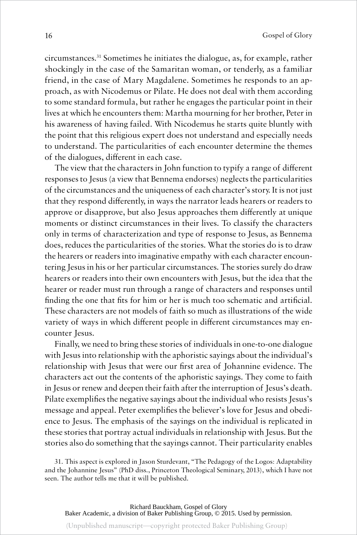circumstances.31 Sometimes he initiates the dialogue, as, for example, rather shockingly in the case of the Samaritan woman, or tenderly, as a familiar friend, in the case of Mary Magdalene. Sometimes he responds to an approach, as with Nicodemus or Pilate. He does not deal with them according to some standard formula, but rather he engages the particular point in their lives at which he encounters them: Martha mourning for her brother, Peter in his awareness of having failed. With Nicodemus he starts quite bluntly with the point that this religious expert does not understand and especially needs to understand. The particularities of each encounter determine the themes of the dialogues, different in each case.

The view that the characters in John function to typify a range of different responses to Jesus (a view that Bennema endorses) neglects the particularities of the circumstances and the uniqueness of each character's story. It is not just that they respond differently, in ways the narrator leads hearers or readers to approve or disapprove, but also Jesus approaches them differently at unique moments or distinct circumstances in their lives. To classify the characters only in terms of characterization and type of response to Jesus, as Bennema does, reduces the particularities of the stories. What the stories do is to draw the hearers or readers into imaginative empathy with each character encountering Jesus in his or her particular circumstances. The stories surely do draw hearers or readers into their own encounters with Jesus, but the idea that the hearer or reader must run through a range of characters and responses until finding the one that fits for him or her is much too schematic and artificial. These characters are not models of faith so much as illustrations of the wide variety of ways in which different people in different circumstances may encounter Jesus.

Finally, we need to bring these stories of individuals in one-to-one dialogue with Jesus into relationship with the aphoristic sayings about the individual's relationship with Jesus that were our first area of Johannine evidence. The characters act out the contents of the aphoristic sayings. They come to faith in Jesus or renew and deepen their faith after the interruption of Jesus's death. Pilate exemplifies the negative sayings about the individual who resists Jesus's message and appeal. Peter exemplifies the believer's love for Jesus and obedience to Jesus. The emphasis of the sayings on the individual is replicated in these stories that portray actual individuals in relationship with Jesus. But the stories also do something that the sayings cannot. Their particularity enables

31. This aspect is explored in Jason Sturdevant, "The Pedagogy of the Logos: Adaptability and the Johannine Jesus" (PhD diss., Princeton Theological Seminary, 2013), which I have not seen. The author tells me that it will be published.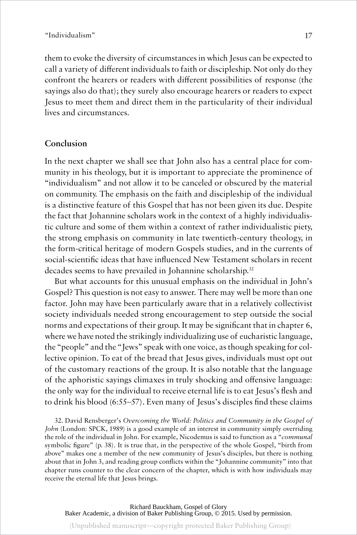them to evoke the diversity of circumstances in which Jesus can be expected to call a variety of different individuals to faith or discipleship. Not only do they confront the hearers or readers with different possibilities of response (the sayings also do that); they surely also encourage hearers or readers to expect Jesus to meet them and direct them in the particularity of their individual lives and circumstances.

#### **Conclusion**

In the next chapter we shall see that John also has a central place for community in his theology, but it is important to appreciate the prominence of "individualism" and not allow it to be canceled or obscured by the material on community. The emphasis on the faith and discipleship of the individual is a distinctive feature of this Gospel that has not been given its due. Despite the fact that Johannine scholars work in the context of a highly individualistic culture and some of them within a context of rather individualistic piety, the strong emphasis on community in late twentieth-century theology, in the form-critical heritage of modern Gospels studies, and in the currents of social-scientific ideas that have influenced New Testament scholars in recent decades seems to have prevailed in Johannine scholarship.<sup>32</sup>

But what accounts for this unusual emphasis on the individual in John's Gospel? This question is not easy to answer. There may well be more than one factor. John may have been particularly aware that in a relatively collectivist society individuals needed strong encouragement to step outside the social norms and expectations of their group. It may be significant that in chapter 6, where we have noted the strikingly individualizing use of eucharistic language, the "people" and the "Jews" speak with one voice, as though speaking for collective opinion. To eat of the bread that Jesus gives, individuals must opt out of the customary reactions of the group. It is also notable that the language of the aphoristic sayings climaxes in truly shocking and offensive language: the only way for the individual to receive eternal life is to eat Jesus's flesh and to drink his blood (6:55–57). Even many of Jesus's disciples find these claims

32. David Rensberger's *Overcoming the World: Politics and Community in the Gospel of John* (London: SPCK, 1989) is a good example of an interest in community simply overriding the role of the individual in John. For example, Nicodemus is said to function as a "*communal* symbolic figure" (p. 38). It is true that, in the perspective of the whole Gospel, "birth from above" makes one a member of the new community of Jesus's disciples, but there is nothing about that in John 3, and reading group conflicts within the "Johannine community" into that chapter runs counter to the clear concern of the chapter, which is with how individuals may receive the eternal life that Jesus brings.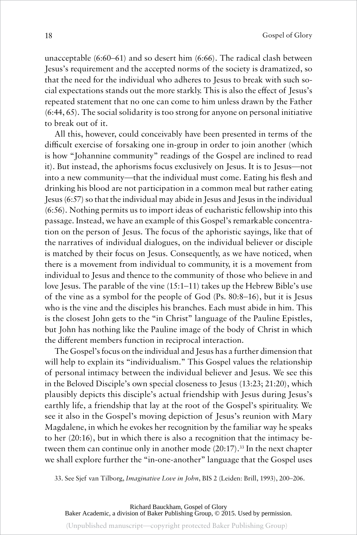unacceptable (6:60–61) and so desert him (6:66). The radical clash between Jesus's requirement and the accepted norms of the society is dramatized, so that the need for the individual who adheres to Jesus to break with such social expectations stands out the more starkly. This is also the effect of Jesus's repeated statement that no one can come to him unless drawn by the Father (6:44, 65). The social solidarity is too strong for anyone on personal initiative to break out of it.

All this, however, could conceivably have been presented in terms of the difficult exercise of forsaking one in-group in order to join another (which is how "Johannine community" readings of the Gospel are inclined to read it). But instead, the aphorisms focus exclusively on Jesus. It is to Jesus—not into a new community—that the individual must come. Eating his flesh and drinking his blood are not participation in a common meal but rather eating Jesus (6:57) so that the individual may abide in Jesus and Jesus in the individual (6:56). Nothing permits us to import ideas of eucharistic fellowship into this passage. Instead, we have an example of this Gospel's remarkable concentration on the person of Jesus. The focus of the aphoristic sayings, like that of the narratives of individual dialogues, on the individual believer or disciple is matched by their focus on Jesus. Consequently, as we have noticed, when there is a movement from individual to community, it is a movement from individual to Jesus and thence to the community of those who believe in and love Jesus. The parable of the vine (15:1–11) takes up the Hebrew Bible's use of the vine as a symbol for the people of God (Ps. 80:8–16), but it is Jesus who is the vine and the disciples his branches. Each must abide in him. This is the closest John gets to the "in Christ" language of the Pauline Epistles, but John has nothing like the Pauline image of the body of Christ in which the different members function in reciprocal interaction.

The Gospel's focus on the individual and Jesus has a further dimension that will help to explain its "individualism." This Gospel values the relationship of personal intimacy between the individual believer and Jesus. We see this in the Beloved Disciple's own special closeness to Jesus (13:23; 21:20), which plausibly depicts this disciple's actual friendship with Jesus during Jesus's earthly life, a friendship that lay at the root of the Gospel's spirituality. We see it also in the Gospel's moving depiction of Jesus's reunion with Mary Magdalene, in which he evokes her recognition by the familiar way he speaks to her (20:16), but in which there is also a recognition that the intimacy between them can continue only in another mode  $(20:17)$ .<sup>33</sup> In the next chapter we shall explore further the "in-one-another" language that the Gospel uses

33. See Sjef van Tilborg, *Imaginative Love in John*, BIS 2 (Leiden: Brill, 1993), 200–206.